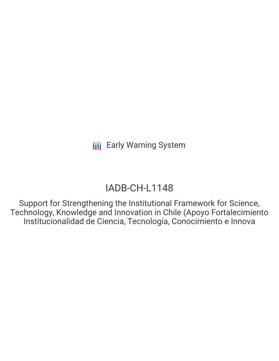# IADB-CH-L1148

Support for Strengthening the Institutional Framework for Science, Technology, Knowledge and Innovation in Chile (Apoyo Fortalecimiento Institucionalidad de Ciencia, Tecnología, Conocimiento e Innova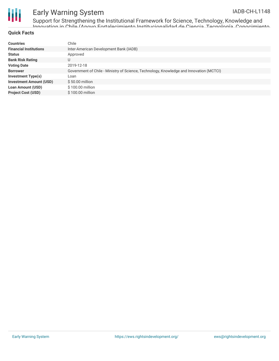

Support for Strengthening the Institutional Framework for Science, Technology, Knowledge and Innovation in Chile (Apoyo Fortalecimiento Institucionalidad de Ciencia, Tecnología, Conocimiento

#### **Quick Facts**

| <b>Countries</b>               | Chile                                                                                   |
|--------------------------------|-----------------------------------------------------------------------------------------|
| <b>Financial Institutions</b>  | Inter-American Development Bank (IADB)                                                  |
| <b>Status</b>                  | Approved                                                                                |
| <b>Bank Risk Rating</b>        | U                                                                                       |
| <b>Voting Date</b>             | 2019-12-18                                                                              |
| <b>Borrower</b>                | Government of Chile - Ministry of Science, Technology, Knowledge and Innovation (MCTCI) |
| Investment Type(s)             | Loan                                                                                    |
| <b>Investment Amount (USD)</b> | $$50.00$ million                                                                        |
| <b>Loan Amount (USD)</b>       | $$100.00$ million                                                                       |
| <b>Project Cost (USD)</b>      | \$100.00 million                                                                        |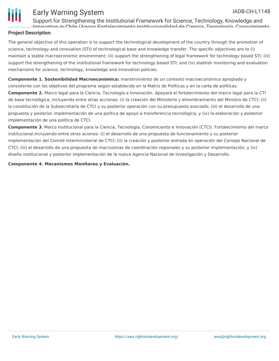

Support for Strengthening the Institutional Framework for Science, Technology, Knowledge and Innovation in Chile (Apoyo Fortalecimiento Institucionalidad de Ciencia, Tecnología, Conocimiento

### **Project Description**

The general objective of this operation is to support the technological development of the country through the promotion of science, technology and innovation (STI) of technological base and knowledge transfer. The specific objectives are to (i) maintain a stable macroeconomic environment; (ii) support the strengthening of legal framework for technology based STI; (iii) support the strengthening of the institutional framework for technology based STI; and (iv) stablish monitoring and evaluation mechanisms for science, technology, knowledge and innovation policies.

**Componente 1. Sostenibilidad Macroeconómica:** mantenimiento de un contexto macroeconómico apropiado y consistente con los objetivos del programa según establecido en la Matriz de Políticas y en la carta de políticas. **Componente 2.** Marco legal para la Ciencia, Tecnología e Innovación. Apoyará el fortalecimiento del marco legal para la CTI de base tecnológica, incluyendo entre otras acciones: (i) la creación del Ministerio y elnombramiento del Ministro de CTCI; (ii) la constitución de la Subsecretaría de CTCI y su posterior operación con su presupuesto asociado; (iii) el desarrollo de una propuesta y posterior implementación de una política de apoyo a transferencia tecnológica; y (iv) la elaboración y posterior implementación de una política de CTCI.

**Componente 3**. Marco Institucional para la Ciencia, Tecnología, Conomiciento e Innovación (CTCI). Fortalecimiento del marco institucional,incluyendo entre otras aciones: (i) el desarrollo de una propuesta de funcionamiento y su posterior implementación del Comité Interministerial de CTCI; (ii) la creación y posterior entrada en operación del Consejo Nacional de CTCI; (iii) el desarrollo de una propuesta de macrozonas de coordinación regionales y su posterior implementación; y (iv) diseño institucional y posterior implementación de la nueva Agencia Nacional de Investigación y Desarrollo.

**Componente 4. Mecanismos Monitoreo y Evaluación.**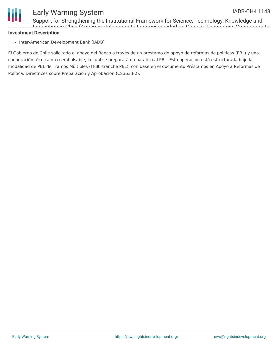

Support for Strengthening the Institutional Framework for Science, Technology, Knowledge and Innovation in Chile (Apoyo Fortalecimiento Institucionalidad de Ciencia, Tecnología, Conocimiento

#### **Investment Description**

• Inter-American Development Bank (IADB)

El Gobierno de Chile solicitado el apoyo del Banco a través de un préstamo de apoyo de reformas de políticas (PBL) y una cooperación técnica no reembolsable, la cual se preparará en paralelo al PBL. Esta operación está estructurada bajo la modalidad de PBL de Tramos Múltiples (Multi-tranche PBL), con base en el documento Préstamos en Apoyo a Reformas de Política: Directrices sobre Preparación y Aprobación (CS3633-2).